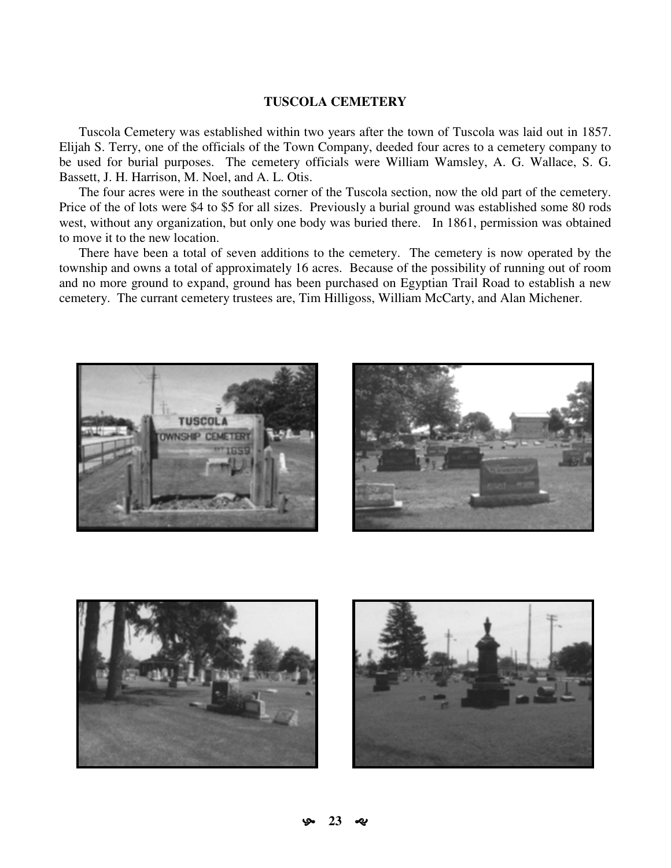## **TUSCOLA CEMETERY**

Tuscola Cemetery was established within two years after the town of Tuscola was laid out in 1857. Elijah S. Terry, one of the officials of the Town Company, deeded four acres to a cemetery company to be used for burial purposes. The cemetery officials were William Wamsley, A. G. Wallace, S. G. Bassett, J. H. Harrison, M. Noel, and A. L. Otis.

The four acres were in the southeast corner of the Tuscola section, now the old part of the cemetery. Price of the of lots were \$4 to \$5 for all sizes. Previously a burial ground was established some 80 rods west, without any organization, but only one body was buried there. In 1861, permission was obtained to move it to the new location.

There have been a total of seven additions to the cemetery. The cemetery is now operated by the township and owns a total of approximately 16 acres. Because of the possibility of running out of room and no more ground to expand, ground has been purchased on Egyptian Trail Road to establish a new cemetery. The currant cemetery trustees are, Tim Hilligoss, William McCarty, and Alan Michener.